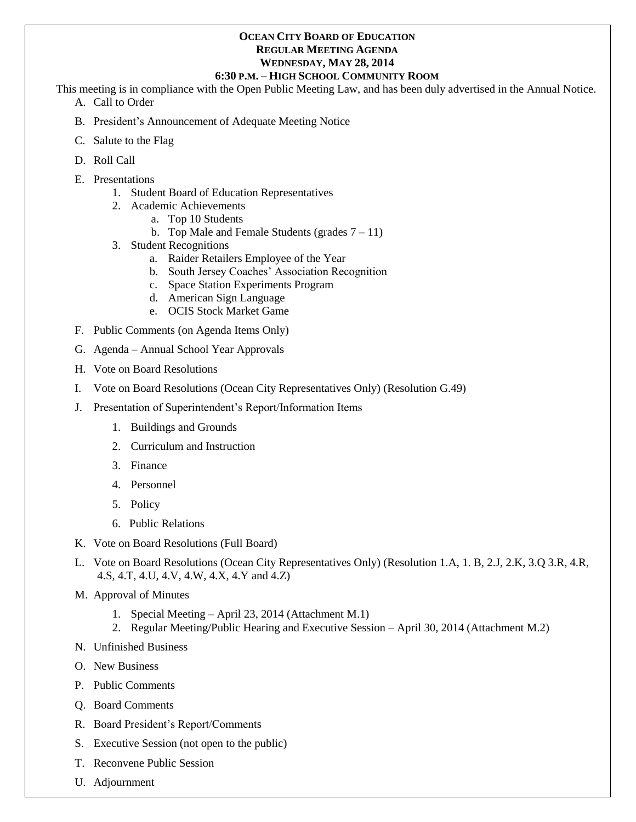#### **OCEAN CITY BOARD OF EDUCATION REGULAR MEETING AGENDA WEDNESDAY, MAY 28, 2014**

#### **6:30 P.M. – HIGH SCHOOL COMMUNITY ROOM**

This meeting is in compliance with the Open Public Meeting Law, and has been duly advertised in the Annual Notice.

- A. Call to Order
- B. President's Announcement of Adequate Meeting Notice
- C. Salute to the Flag
- D. Roll Call
- E. Presentations
	- 1. Student Board of Education Representatives
	- 2. Academic Achievements
		- a. Top 10 Students
		- b. Top Male and Female Students (grades  $7 11$ )
	- 3. Student Recognitions
		- a. Raider Retailers Employee of the Year
		- b. South Jersey Coaches' Association Recognition
		- c. Space Station Experiments Program
		- d. American Sign Language
		- e. OCIS Stock Market Game
- F. Public Comments (on Agenda Items Only)
- G. Agenda Annual School Year Approvals
- H. Vote on Board Resolutions
- I. Vote on Board Resolutions (Ocean City Representatives Only) (Resolution G.49)
- J. Presentation of Superintendent's Report/Information Items
	- 1. Buildings and Grounds
	- 2. Curriculum and Instruction
	- 3. Finance
	- 4. Personnel
	- 5. Policy
	- 6. Public Relations
- K. Vote on Board Resolutions (Full Board)
- L. Vote on Board Resolutions (Ocean City Representatives Only) (Resolution 1.A, 1. B, 2.J, 2.K, 3.Q 3.R, 4.R, 4.S, 4.T, 4.U, 4.V, 4.W, 4.X, 4.Y and 4.Z)
- M. Approval of Minutes
	- 1. Special Meeting April 23, 2014 (Attachment M.1)
	- 2. Regular Meeting/Public Hearing and Executive Session April 30, 2014 (Attachment M.2)
- N. Unfinished Business
- O. New Business
- P. Public Comments
- Q. Board Comments
- R. Board President's Report/Comments
- S. Executive Session (not open to the public)
- T. Reconvene Public Session
- U. Adjournment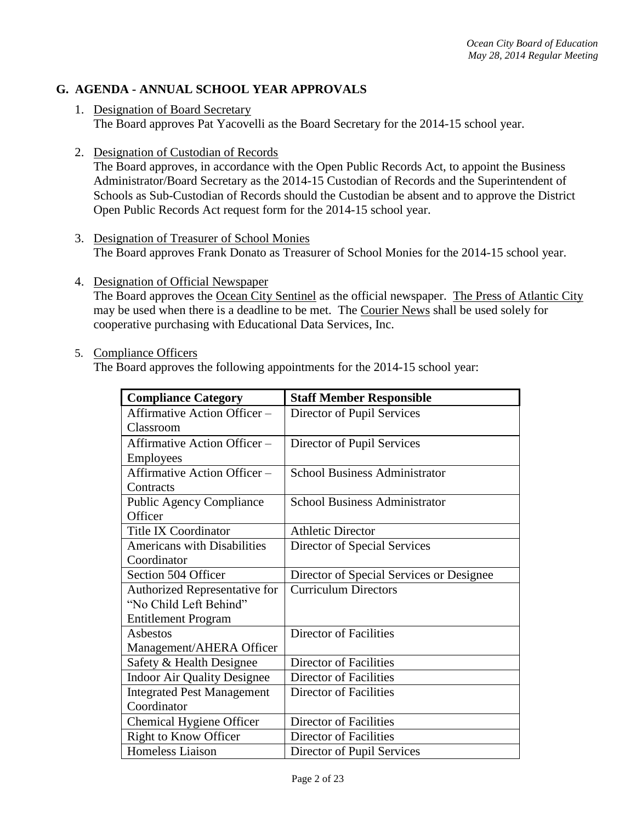# **G. AGENDA - ANNUAL SCHOOL YEAR APPROVALS**

- 1. Designation of Board Secretary The Board approves Pat Yacovelli as the Board Secretary for the 2014-15 school year.
- 2. Designation of Custodian of Records

The Board approves, in accordance with the Open Public Records Act, to appoint the Business Administrator/Board Secretary as the 2014-15 Custodian of Records and the Superintendent of Schools as Sub-Custodian of Records should the Custodian be absent and to approve the District Open Public Records Act request form for the 2014-15 school year.

- 3. Designation of Treasurer of School Monies The Board approves Frank Donato as Treasurer of School Monies for the 2014-15 school year.
- 4. Designation of Official Newspaper The Board approves the Ocean City Sentinel as the official newspaper. The Press of Atlantic City may be used when there is a deadline to be met. The Courier News shall be used solely for cooperative purchasing with Educational Data Services, Inc.
- 5. Compliance Officers

The Board approves the following appointments for the 2014-15 school year:

| <b>Compliance Category</b>         | <b>Staff Member Responsible</b>          |
|------------------------------------|------------------------------------------|
| Affirmative Action Officer -       | Director of Pupil Services               |
| Classroom                          |                                          |
| Affirmative Action Officer -       | Director of Pupil Services               |
| <b>Employees</b>                   |                                          |
| Affirmative Action Officer -       | <b>School Business Administrator</b>     |
| Contracts                          |                                          |
| <b>Public Agency Compliance</b>    | <b>School Business Administrator</b>     |
| Officer                            |                                          |
| <b>Title IX Coordinator</b>        | <b>Athletic Director</b>                 |
| <b>Americans with Disabilities</b> | Director of Special Services             |
| Coordinator                        |                                          |
| Section 504 Officer                | Director of Special Services or Designee |
| Authorized Representative for      | <b>Curriculum Directors</b>              |
| "No Child Left Behind"             |                                          |
| <b>Entitlement Program</b>         |                                          |
| Asbestos                           | <b>Director of Facilities</b>            |
| Management/AHERA Officer           |                                          |
| Safety & Health Designee           | Director of Facilities                   |
| <b>Indoor Air Quality Designee</b> | Director of Facilities                   |
| <b>Integrated Pest Management</b>  | Director of Facilities                   |
| Coordinator                        |                                          |
| Chemical Hygiene Officer           | Director of Facilities                   |
| <b>Right to Know Officer</b>       | Director of Facilities                   |
| Homeless Liaison                   | Director of Pupil Services               |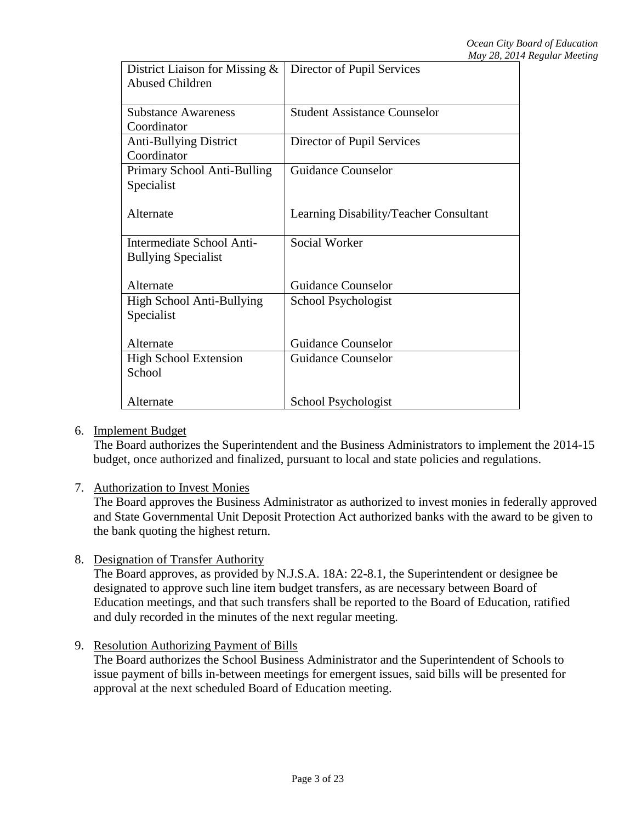| Director of Pupil Services             |
|----------------------------------------|
|                                        |
|                                        |
| <b>Student Assistance Counselor</b>    |
|                                        |
| Director of Pupil Services             |
|                                        |
| <b>Guidance Counselor</b>              |
|                                        |
|                                        |
| Learning Disability/Teacher Consultant |
|                                        |
| Social Worker                          |
|                                        |
|                                        |
| <b>Guidance Counselor</b>              |
| School Psychologist                    |
|                                        |
|                                        |
| <b>Guidance Counselor</b>              |
| <b>Guidance Counselor</b>              |
|                                        |
|                                        |
| School Psychologist                    |
|                                        |

6. Implement Budget

The Board authorizes the Superintendent and the Business Administrators to implement the 2014-15 budget, once authorized and finalized, pursuant to local and state policies and regulations.

7. Authorization to Invest Monies

The Board approves the Business Administrator as authorized to invest monies in federally approved and State Governmental Unit Deposit Protection Act authorized banks with the award to be given to the bank quoting the highest return.

8. Designation of Transfer Authority

The Board approves, as provided by N.J.S.A. 18A: 22-8.1, the Superintendent or designee be designated to approve such line item budget transfers, as are necessary between Board of Education meetings, and that such transfers shall be reported to the Board of Education, ratified and duly recorded in the minutes of the next regular meeting.

9. Resolution Authorizing Payment of Bills

The Board authorizes the School Business Administrator and the Superintendent of Schools to issue payment of bills in-between meetings for emergent issues, said bills will be presented for approval at the next scheduled Board of Education meeting.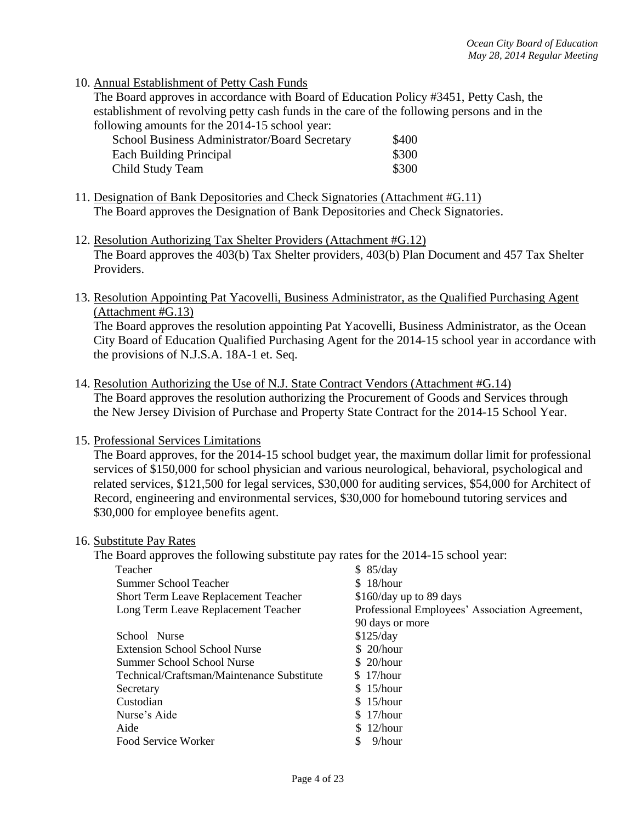10. Annual Establishment of Petty Cash Funds

The Board approves in accordance with Board of Education Policy #3451, Petty Cash, the establishment of revolving petty cash funds in the care of the following persons and in the following amounts for the 2014-15 school year:

| School Business Administrator/Board Secretary | \$400 |
|-----------------------------------------------|-------|
| Each Building Principal                       | \$300 |
| Child Study Team                              | \$300 |

- 11. Designation of Bank Depositories and Check Signatories (Attachment #G.11) The Board approves the Designation of Bank Depositories and Check Signatories.
- 12. Resolution Authorizing Tax Shelter Providers (Attachment #G.12) The Board approves the 403(b) Tax Shelter providers, 403(b) Plan Document and 457 Tax Shelter Providers.
- 13. Resolution Appointing Pat Yacovelli, Business Administrator, as the Qualified Purchasing Agent (Attachment #G.13)

The Board approves the resolution appointing Pat Yacovelli, Business Administrator, as the Ocean City Board of Education Qualified Purchasing Agent for the 2014-15 school year in accordance with the provisions of N.J.S.A. 18A-1 et. Seq.

- 14. Resolution Authorizing the Use of N.J. State Contract Vendors (Attachment #G.14) The Board approves the resolution authorizing the Procurement of Goods and Services through the New Jersey Division of Purchase and Property State Contract for the 2014-15 School Year.
- 15. Professional Services Limitations

The Board approves, for the 2014-15 school budget year, the maximum dollar limit for professional services of \$150,000 for school physician and various neurological, behavioral, psychological and related services, \$121,500 for legal services, \$30,000 for auditing services, \$54,000 for Architect of Record, engineering and environmental services, \$30,000 for homebound tutoring services and \$30,000 for employee benefits agent.

#### 16. Substitute Pay Rates

The Board approves the following substitute pay rates for the 2014-15 school year:

| Teacher                                     | \$85/day                                       |
|---------------------------------------------|------------------------------------------------|
| <b>Summer School Teacher</b>                | \$18/hour                                      |
| <b>Short Term Leave Replacement Teacher</b> | \$160/day up to 89 days                        |
| Long Term Leave Replacement Teacher         | Professional Employees' Association Agreement, |
|                                             | 90 days or more                                |
| School Nurse                                | \$125/day                                      |
| Extension School School Nurse               | \$20/hour                                      |
| Summer School School Nurse                  | \$20/hour                                      |
| Technical/Craftsman/Maintenance Substitute  | \$17/hour                                      |
| Secretary                                   | \$15/hour                                      |
| Custodian                                   | \$15/hour                                      |
| Nurse's Aide                                | \$17/hour                                      |
| Aide                                        | \$12/hour                                      |
| Food Service Worker                         | $9/h$ our                                      |
|                                             |                                                |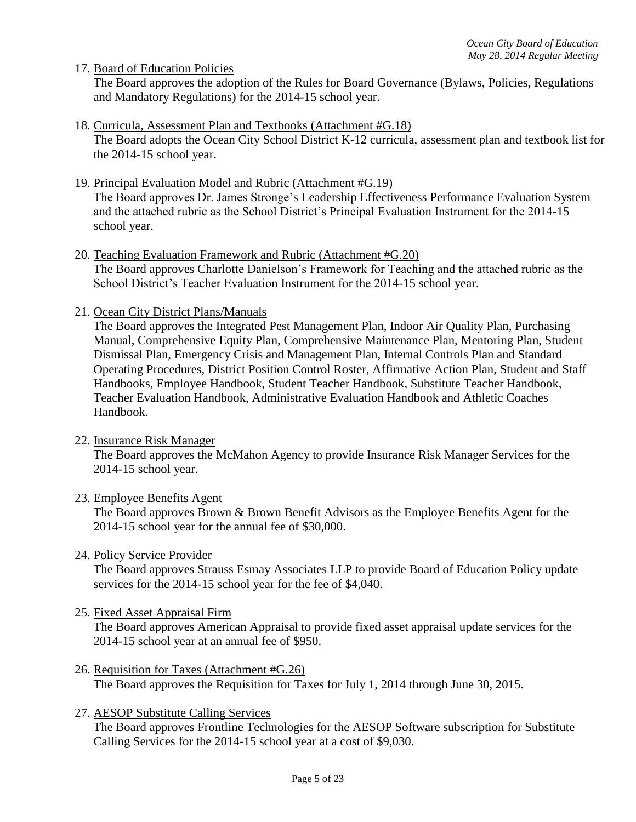17. Board of Education Policies

The Board approves the adoption of the Rules for Board Governance (Bylaws, Policies, Regulations and Mandatory Regulations) for the 2014-15 school year.

18. Curricula, Assessment Plan and Textbooks (Attachment #G.18)

The Board adopts the Ocean City School District K-12 curricula, assessment plan and textbook list for the 2014-15 school year.

19. Principal Evaluation Model and Rubric (Attachment #G.19)

The Board approves Dr. James Stronge's Leadership Effectiveness Performance Evaluation System and the attached rubric as the School District's Principal Evaluation Instrument for the 2014-15 school year.

- 20. Teaching Evaluation Framework and Rubric (Attachment #G.20) The Board approves Charlotte Danielson's Framework for Teaching and the attached rubric as the School District's Teacher Evaluation Instrument for the 2014-15 school year.
- 21. Ocean City District Plans/Manuals

The Board approves the Integrated Pest Management Plan, Indoor Air Quality Plan, Purchasing Manual, Comprehensive Equity Plan, Comprehensive Maintenance Plan, Mentoring Plan, Student Dismissal Plan, Emergency Crisis and Management Plan, Internal Controls Plan and Standard Operating Procedures, District Position Control Roster, Affirmative Action Plan, Student and Staff Handbooks, Employee Handbook, Student Teacher Handbook, Substitute Teacher Handbook, Teacher Evaluation Handbook, Administrative Evaluation Handbook and Athletic Coaches Handbook.

22. Insurance Risk Manager

The Board approves the McMahon Agency to provide Insurance Risk Manager Services for the 2014-15 school year.

23. Employee Benefits Agent

The Board approves Brown & Brown Benefit Advisors as the Employee Benefits Agent for the 2014-15 school year for the annual fee of \$30,000.

24. Policy Service Provider

The Board approves Strauss Esmay Associates LLP to provide Board of Education Policy update services for the 2014-15 school year for the fee of \$4,040.

25. Fixed Asset Appraisal Firm

The Board approves American Appraisal to provide fixed asset appraisal update services for the 2014-15 school year at an annual fee of \$950.

- 26. Requisition for Taxes (Attachment #G.26) The Board approves the Requisition for Taxes for July 1, 2014 through June 30, 2015.
- 27. AESOP Substitute Calling Services

The Board approves Frontline Technologies for the AESOP Software subscription for Substitute Calling Services for the 2014-15 school year at a cost of \$9,030.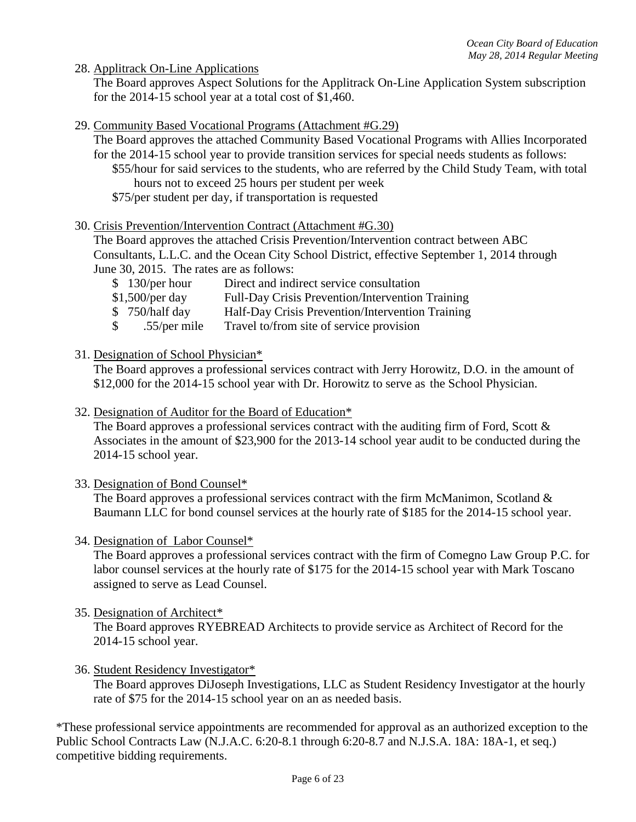28. Applitrack On-Line Applications

The Board approves Aspect Solutions for the Applitrack On-Line Application System subscription for the 2014-15 school year at a total cost of \$1,460.

- 29. Community Based Vocational Programs (Attachment #G.29)
	- The Board approves the attached Community Based Vocational Programs with Allies Incorporated for the 2014-15 school year to provide transition services for special needs students as follows:
		- \$55/hour for said services to the students, who are referred by the Child Study Team, with total hours not to exceed 25 hours per student per week
		- \$75/per student per day, if transportation is requested

### 30. Crisis Prevention/Intervention Contract (Attachment #G.30)

The Board approves the attached Crisis Prevention/Intervention contract between ABC Consultants, L.L.C. and the Ocean City School District, effective September 1, 2014 through June 30, 2015. The rates are as follows:

- \$ 130/per hour Direct and indirect service consultation
- \$1,500/per day Full-Day Crisis Prevention/Intervention Training
- \$ 750/half day Half-Day Crisis Prevention/Intervention Training
- \$ .55/per mile Travel to/from site of service provision
- 31. Designation of School Physician\*

The Board approves a professional services contract with Jerry Horowitz, D.O. in the amount of \$12,000 for the 2014-15 school year with Dr. Horowitz to serve as the School Physician.

32. Designation of Auditor for the Board of Education\*

The Board approves a professional services contract with the auditing firm of Ford, Scott  $\&$ Associates in the amount of \$23,900 for the 2013-14 school year audit to be conducted during the 2014-15 school year.

33. Designation of Bond Counsel\*

The Board approves a professional services contract with the firm McManimon, Scotland  $\&$ Baumann LLC for bond counsel services at the hourly rate of \$185 for the 2014-15 school year.

34. Designation of Labor Counsel\*

The Board approves a professional services contract with the firm of Comegno Law Group P.C. for labor counsel services at the hourly rate of \$175 for the 2014-15 school year with Mark Toscano assigned to serve as Lead Counsel.

35. Designation of Architect\*

The Board approves RYEBREAD Architects to provide service as Architect of Record for the 2014-15 school year.

36. Student Residency Investigator\*

The Board approves DiJoseph Investigations, LLC as Student Residency Investigator at the hourly rate of \$75 for the 2014-15 school year on an as needed basis.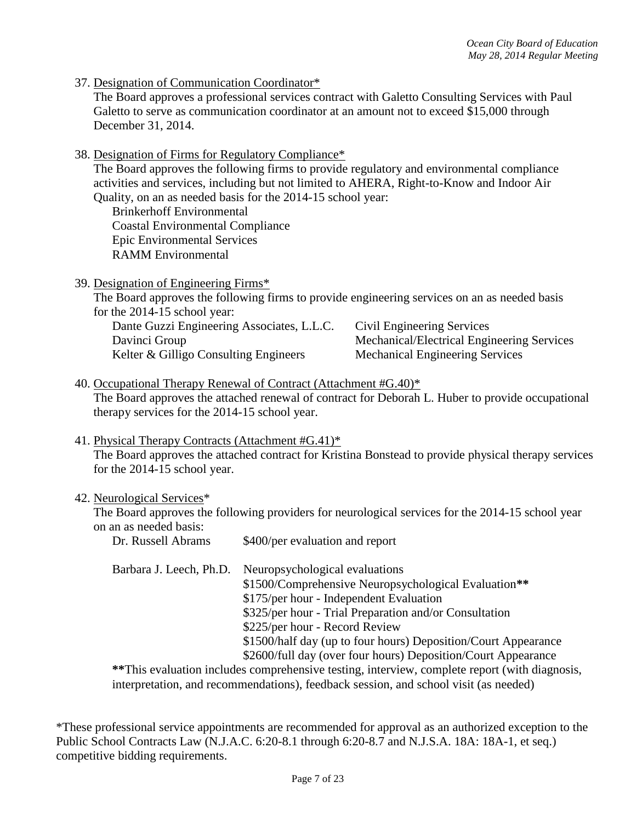37. Designation of Communication Coordinator\*

The Board approves a professional services contract with Galetto Consulting Services with Paul Galetto to serve as communication coordinator at an amount not to exceed \$15,000 through December 31, 2014.

38. Designation of Firms for Regulatory Compliance\*

The Board approves the following firms to provide regulatory and environmental compliance activities and services, including but not limited to AHERA, Right-to-Know and Indoor Air Quality, on an as needed basis for the 2014-15 school year:

Brinkerhoff Environmental Coastal Environmental Compliance Epic Environmental Services RAMM Environmental

39. Designation of Engineering Firms\*

The Board approves the following firms to provide engineering services on an as needed basis for the 2014-15 school year:

| Dante Guzzi Engineering Associates, L.L.C. | Civil Engineering Services                 |
|--------------------------------------------|--------------------------------------------|
| Davinci Group                              | Mechanical/Electrical Engineering Services |
| Kelter & Gilligo Consulting Engineers      | <b>Mechanical Engineering Services</b>     |

- 40. Occupational Therapy Renewal of Contract (Attachment #G.40)\* The Board approves the attached renewal of contract for Deborah L. Huber to provide occupational therapy services for the 2014-15 school year.
- 41. Physical Therapy Contracts (Attachment #G.41)\*

The Board approves the attached contract for Kristina Bonstead to provide physical therapy services for the 2014-15 school year.

#### 42. Neurological Services\*

The Board approves the following providers for neurological services for the 2014-15 school year on an as needed basis:

| Dr. Russell Abrams      | \$400/per evaluation and report                                                               |
|-------------------------|-----------------------------------------------------------------------------------------------|
| Barbara J. Leech, Ph.D. | Neuropsychological evaluations                                                                |
|                         | \$1500/Comprehensive Neuropsychological Evaluation**                                          |
|                         | \$175/per hour - Independent Evaluation                                                       |
|                         | \$325/per hour - Trial Preparation and/or Consultation                                        |
|                         | \$225/per hour - Record Review                                                                |
|                         | \$1500/half day (up to four hours) Deposition/Court Appearance                                |
|                         | \$2600/full day (over four hours) Deposition/Court Appearance                                 |
|                         | **This evaluation includes comprehensive testing, interview, complete report (with diagnosis, |
|                         | interpretation, and recommendations), feedback session, and school visit (as needed)          |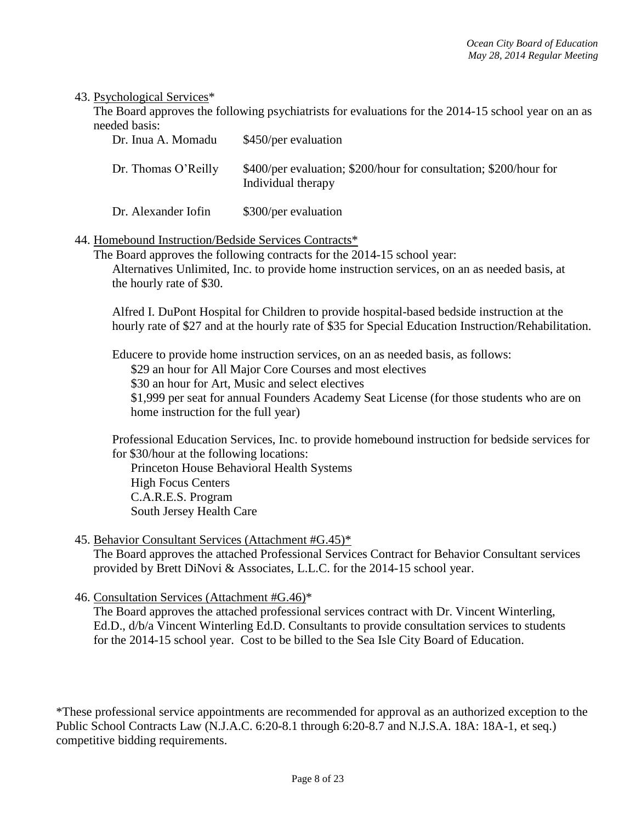#### 43. Psychological Services\*

The Board approves the following psychiatrists for evaluations for the 2014-15 school year on an as needed basis:

| Dr. Inua A. Momadu  | \$450/per evaluation                                                                    |
|---------------------|-----------------------------------------------------------------------------------------|
| Dr. Thomas O'Reilly | \$400/per evaluation; \$200/hour for consultation; \$200/hour for<br>Individual therapy |

Dr. Alexander Iofin \$300/per evaluation

### 44. Homebound Instruction/Bedside Services Contracts\*

The Board approves the following contracts for the 2014-15 school year: Alternatives Unlimited, Inc. to provide home instruction services, on an as needed basis, at the hourly rate of \$30.

Alfred I. DuPont Hospital for Children to provide hospital-based bedside instruction at the hourly rate of \$27 and at the hourly rate of \$35 for Special Education Instruction/Rehabilitation.

Educere to provide home instruction services, on an as needed basis, as follows: \$29 an hour for All Major Core Courses and most electives \$30 an hour for Art, Music and select electives \$1,999 per seat for annual Founders Academy Seat License (for those students who are on home instruction for the full year)

Professional Education Services, Inc. to provide homebound instruction for bedside services for for \$30/hour at the following locations:

Princeton House Behavioral Health Systems High Focus Centers C.A.R.E.S. Program South Jersey Health Care

### 45. Behavior Consultant Services (Attachment #G.45)\*

The Board approves the attached Professional Services Contract for Behavior Consultant services provided by Brett DiNovi & Associates, L.L.C. for the 2014-15 school year.

46. Consultation Services (Attachment #G.46)\*

The Board approves the attached professional services contract with Dr. Vincent Winterling, Ed.D., d/b/a Vincent Winterling Ed.D. Consultants to provide consultation services to students for the 2014-15 school year. Cost to be billed to the Sea Isle City Board of Education.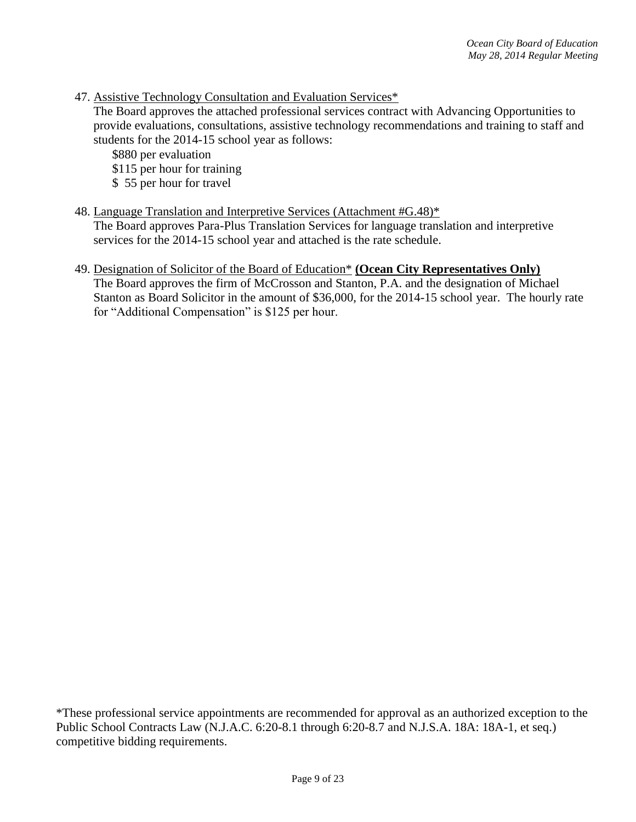47. Assistive Technology Consultation and Evaluation Services\*

The Board approves the attached professional services contract with Advancing Opportunities to provide evaluations, consultations, assistive technology recommendations and training to staff and students for the 2014-15 school year as follows:

\$880 per evaluation

- \$115 per hour for training
- \$ 55 per hour for travel

## 48. Language Translation and Interpretive Services (Attachment #G.48)\*

The Board approves Para-Plus Translation Services for language translation and interpretive services for the 2014-15 school year and attached is the rate schedule.

# 49. Designation of Solicitor of the Board of Education\* **(Ocean City Representatives Only)**

The Board approves the firm of McCrosson and Stanton, P.A. and the designation of Michael Stanton as Board Solicitor in the amount of \$36,000, for the 2014-15 school year. The hourly rate for "Additional Compensation" is \$125 per hour.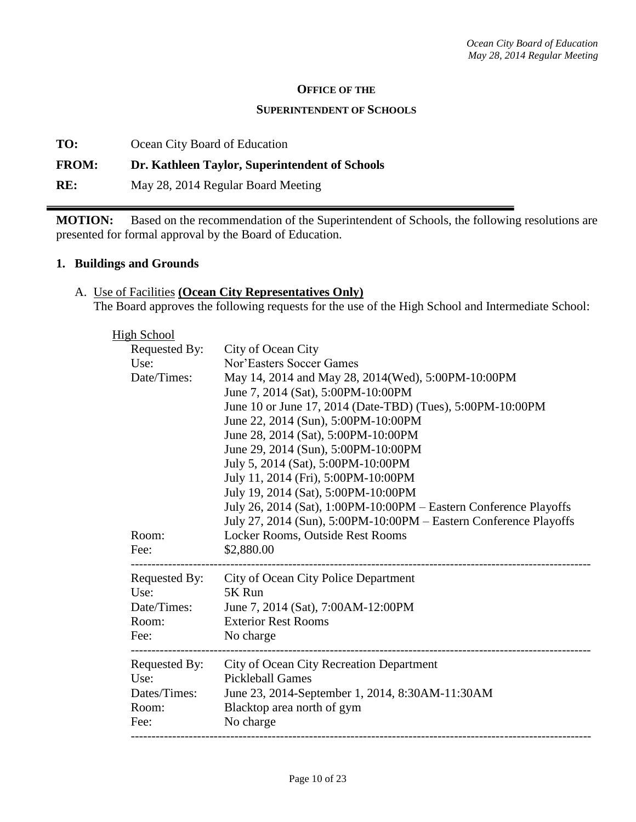#### **OFFICE OF THE**

#### **SUPERINTENDENT OF SCHOOLS**

**TO:** Ocean City Board of Education

#### **FROM: Dr. Kathleen Taylor, Superintendent of Schools**

**RE:** May 28, 2014 Regular Board Meeting

**MOTION:** Based on the recommendation of the Superintendent of Schools, the following resolutions are presented for formal approval by the Board of Education.

#### **1. Buildings and Grounds**

## A. Use of Facilities **(Ocean City Representatives Only)** The Board approves the following requests for the use of the High School and Intermediate School:

| <b>High School</b> |               |                                                                   |
|--------------------|---------------|-------------------------------------------------------------------|
|                    | Requested By: | City of Ocean City                                                |
| Use:               |               | Nor'Easters Soccer Games                                          |
|                    | Date/Times:   | May 14, 2014 and May 28, 2014(Wed), 5:00PM-10:00PM                |
|                    |               | June 7, 2014 (Sat), 5:00PM-10:00PM                                |
|                    |               | June 10 or June 17, 2014 (Date-TBD) (Tues), 5:00PM-10:00PM        |
|                    |               | June 22, 2014 (Sun), 5:00PM-10:00PM                               |
|                    |               | June 28, 2014 (Sat), 5:00PM-10:00PM                               |
|                    |               | June 29, 2014 (Sun), 5:00PM-10:00PM                               |
|                    |               | July 5, 2014 (Sat), 5:00PM-10:00PM                                |
|                    |               | July 11, 2014 (Fri), 5:00PM-10:00PM                               |
|                    |               | July 19, 2014 (Sat), 5:00PM-10:00PM                               |
|                    |               | July 26, 2014 (Sat), 1:00PM-10:00PM - Eastern Conference Playoffs |
|                    |               | July 27, 2014 (Sun), 5:00PM-10:00PM - Eastern Conference Playoffs |
| Room:              |               | Locker Rooms, Outside Rest Rooms                                  |
| Fee:               |               | \$2,880.00                                                        |
|                    |               | Requested By: City of Ocean City Police Department                |
| Use:               |               | 5K Run                                                            |
|                    | Date/Times:   | June 7, 2014 (Sat), 7:00AM-12:00PM                                |
| Room:              |               | <b>Exterior Rest Rooms</b>                                        |
| Fee:               |               | No charge                                                         |
|                    | Requested By: | <b>City of Ocean City Recreation Department</b>                   |
| Use:               |               | <b>Pickleball Games</b>                                           |
|                    | Dates/Times:  | June 23, 2014-September 1, 2014, 8:30AM-11:30AM                   |
| Room:              |               | Blacktop area north of gym                                        |
| Fee:               |               | No charge                                                         |
|                    |               |                                                                   |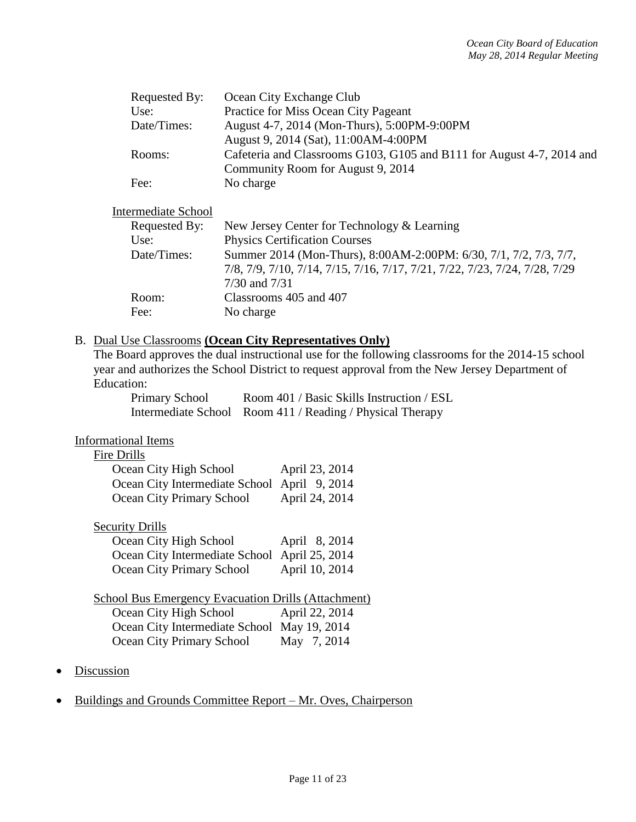| Requested By: | Ocean City Exchange Club                                              |
|---------------|-----------------------------------------------------------------------|
| Use:          | Practice for Miss Ocean City Pageant                                  |
| Date/Times:   | August 4-7, 2014 (Mon-Thurs), 5:00PM-9:00PM                           |
|               | August 9, 2014 (Sat), 11:00AM-4:00PM                                  |
| Rooms:        | Cafeteria and Classrooms G103, G105 and B111 for August 4-7, 2014 and |
|               | Community Room for August 9, 2014                                     |
| Fee:          | No charge                                                             |

### Intermediate School

| Requested By: | New Jersey Center for Technology & Learning                                |
|---------------|----------------------------------------------------------------------------|
| Use:          | <b>Physics Certification Courses</b>                                       |
| Date/Times:   | Summer 2014 (Mon-Thurs), 8:00AM-2:00PM: 6/30, 7/1, 7/2, 7/3, 7/7,          |
|               | 7/8, 7/9, 7/10, 7/14, 7/15, 7/16, 7/17, 7/21, 7/22, 7/23, 7/24, 7/28, 7/29 |
|               | $7/30$ and $7/31$                                                          |
| Room:         | Classrooms 405 and 407                                                     |
| Fee:          | No charge                                                                  |

### B. Dual Use Classrooms **(Ocean City Representatives Only)**

The Board approves the dual instructional use for the following classrooms for the 2014-15 school year and authorizes the School District to request approval from the New Jersey Department of Education:

| <b>Primary School</b> | Room 401 / Basic Skills Instruction / ESL                 |
|-----------------------|-----------------------------------------------------------|
|                       | Intermediate School Room 411 / Reading / Physical Therapy |

### Informational Items

#### Fire Drills

| Ocean City High School                       | April 23, 2014 |
|----------------------------------------------|----------------|
| Ocean City Intermediate School April 9, 2014 |                |
| Ocean City Primary School                    | April 24, 2014 |

### **Security Drills**

| Ocean City High School                        | April 8, 2014  |
|-----------------------------------------------|----------------|
| Ocean City Intermediate School April 25, 2014 |                |
| Ocean City Primary School                     | April 10, 2014 |

# School Bus Emergency Evacuation Drills (Attachment)

| Ocean City High School                      | April 22, 2014 |
|---------------------------------------------|----------------|
| Ocean City Intermediate School May 19, 2014 |                |
| Ocean City Primary School                   | May 7, 2014    |

- **Discussion**
- Buildings and Grounds Committee Report Mr. Oves, Chairperson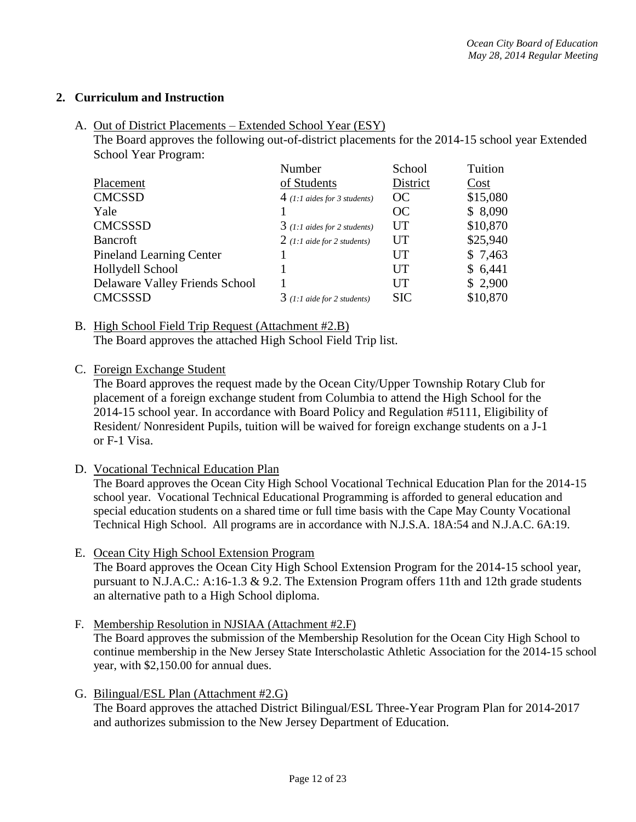## **2. Curriculum and Instruction**

A. Out of District Placements – Extended School Year (ESY)

The Board approves the following out-of-district placements for the 2014-15 school year Extended School Year Program:

| Number                         | School     | Tuition  |
|--------------------------------|------------|----------|
| of Students                    | District   | Cost     |
| $4$ (1:1 aides for 3 students) | OC         | \$15,080 |
|                                | OC         | \$8,090  |
| $3(1:1$ aides for 2 students)  | UT         | \$10,870 |
| $2(1:1$ aide for 2 students)   | UT         | \$25,940 |
|                                | UT         | \$7,463  |
|                                | UT         | \$6,441  |
|                                | UT         | \$2,900  |
| $3(1:1)$ aide for 2 students)  | <b>SIC</b> | \$10,870 |
|                                |            |          |

B. High School Field Trip Request (Attachment #2.B) The Board approves the attached High School Field Trip list.

C. Foreign Exchange Student

The Board approves the request made by the Ocean City/Upper Township Rotary Club for placement of a foreign exchange student from Columbia to attend the High School for the 2014-15 school year. In accordance with Board Policy and Regulation #5111, Eligibility of Resident/ Nonresident Pupils, tuition will be waived for foreign exchange students on a J-1 or F-1 Visa.

D. Vocational Technical Education Plan

The Board approves the Ocean City High School Vocational Technical Education Plan for the 2014-15 school year. Vocational Technical Educational Programming is afforded to general education and special education students on a shared time or full time basis with the Cape May County Vocational Technical High School. All programs are in accordance with N.J.S.A. 18A:54 and N.J.A.C. 6A:19.

- E. Ocean City High School Extension Program The Board approves the Ocean City High School Extension Program for the 2014-15 school year, pursuant to N.J.A.C.: A:16-1.3 & 9.2. The Extension Program offers 11th and 12th grade students an alternative path to a High School diploma.
- F. Membership Resolution in NJSIAA (Attachment #2.F) The Board approves the submission of the Membership Resolution for the Ocean City High School to continue membership in the New Jersey State Interscholastic Athletic Association for the 2014-15 school year, with \$2,150.00 for annual dues.
- G. Bilingual/ESL Plan (Attachment #2.G) The Board approves the attached District Bilingual/ESL Three-Year Program Plan for 2014-2017 and authorizes submission to the New Jersey Department of Education.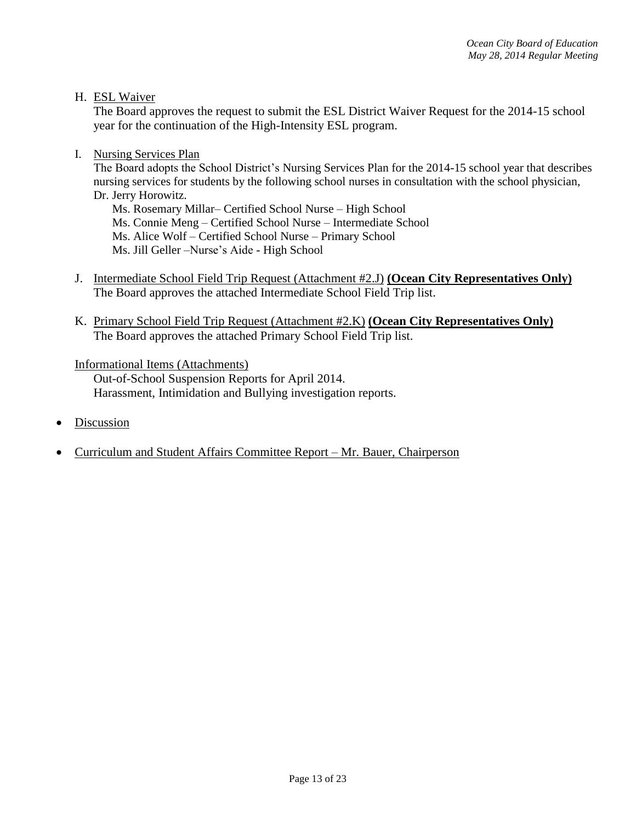H. ESL Waiver

The Board approves the request to submit the ESL District Waiver Request for the 2014-15 school year for the continuation of the High-Intensity ESL program.

I. Nursing Services Plan

The Board adopts the School District's Nursing Services Plan for the 2014-15 school year that describes nursing services for students by the following school nurses in consultation with the school physician, Dr. Jerry Horowitz.

Ms. Rosemary Millar– Certified School Nurse – High School Ms. Connie Meng – Certified School Nurse – Intermediate School Ms. Alice Wolf – Certified School Nurse – Primary School Ms. Jill Geller –Nurse's Aide - High School

- J. Intermediate School Field Trip Request (Attachment #2.J) **(Ocean City Representatives Only)**  The Board approves the attached Intermediate School Field Trip list.
- K. Primary School Field Trip Request (Attachment #2.K) **(Ocean City Representatives Only)**  The Board approves the attached Primary School Field Trip list.

#### Informational Items (Attachments)

Out-of-School Suspension Reports for April 2014. Harassment, Intimidation and Bullying investigation reports.

- Discussion
- Curriculum and Student Affairs Committee Report Mr. Bauer, Chairperson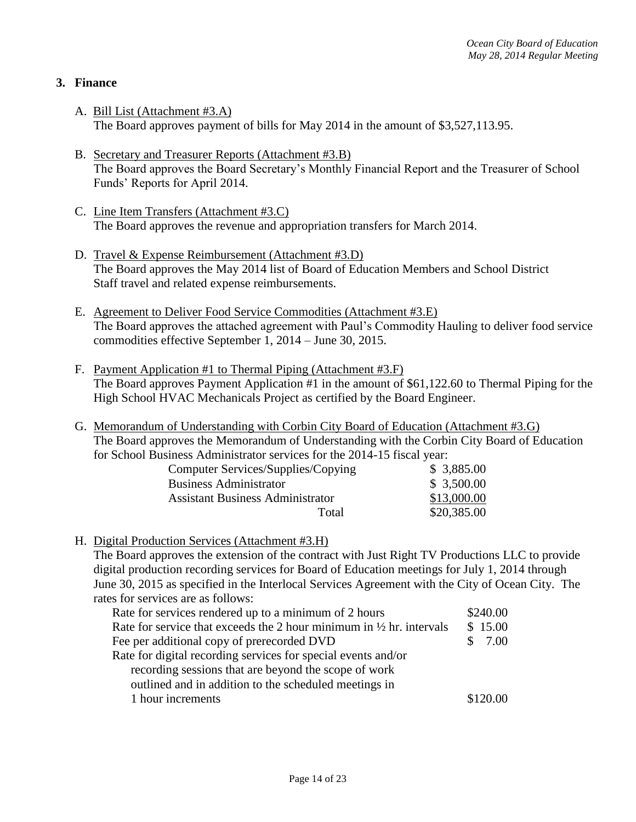# **3. Finance**

- A. Bill List (Attachment #3.A) The Board approves payment of bills for May 2014 in the amount of \$3,527,113.95.
- B. Secretary and Treasurer Reports (Attachment #3.B) The Board approves the Board Secretary's Monthly Financial Report and the Treasurer of School Funds' Reports for April 2014.
- C. Line Item Transfers (Attachment #3.C) The Board approves the revenue and appropriation transfers for March 2014.
- D. Travel & Expense Reimbursement (Attachment #3.D) The Board approves the May 2014 list of Board of Education Members and School District Staff travel and related expense reimbursements.
- E. Agreement to Deliver Food Service Commodities (Attachment #3.E) The Board approves the attached agreement with Paul's Commodity Hauling to deliver food service commodities effective September 1, 2014 – June 30, 2015.
- F. Payment Application #1 to Thermal Piping (Attachment #3.F) The Board approves Payment Application #1 in the amount of \$61,122.60 to Thermal Piping for the High School HVAC Mechanicals Project as certified by the Board Engineer.
- G. Memorandum of Understanding with Corbin City Board of Education (Attachment #3.G) The Board approves the Memorandum of Understanding with the Corbin City Board of Education for School Business Administrator services for the 2014-15 fiscal year:

| Computer Services/Supplies/Copying      | \$3,885.00  |
|-----------------------------------------|-------------|
| <b>Business Administrator</b>           | \$3,500.00  |
| <b>Assistant Business Administrator</b> | \$13,000.00 |
| Total                                   | \$20,385.00 |

H. Digital Production Services (Attachment #3.H)

The Board approves the extension of the contract with Just Right TV Productions LLC to provide digital production recording services for Board of Education meetings for July 1, 2014 through June 30, 2015 as specified in the Interlocal Services Agreement with the City of Ocean City. The rates for services are as follows:

| Rate for services rendered up to a minimum of 2 hours                           | \$240.00 |
|---------------------------------------------------------------------------------|----------|
| Rate for service that exceeds the 2 hour minimum in $\frac{1}{2}$ hr. intervals | \$15.00  |
| Fee per additional copy of prerecorded DVD                                      | \$7.00   |
| Rate for digital recording services for special events and/or                   |          |
| recording sessions that are beyond the scope of work                            |          |
| outlined and in addition to the scheduled meetings in                           |          |
| 1 hour increments                                                               | \$120.00 |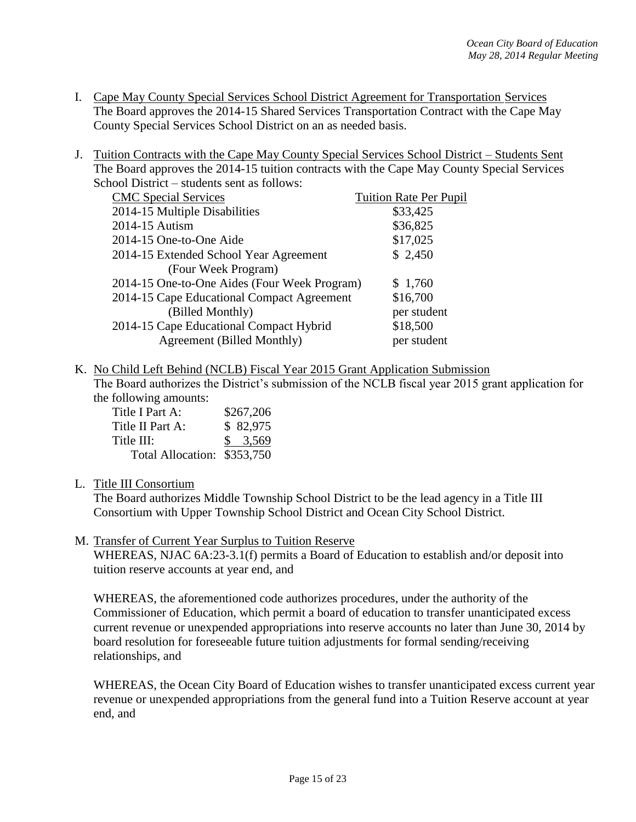- I. Cape May County Special Services School District Agreement for Transportation Services The Board approves the 2014-15 Shared Services Transportation Contract with the Cape May County Special Services School District on an as needed basis.
- J. Tuition Contracts with the Cape May County Special Services School District Students Sent The Board approves the 2014-15 tuition contracts with the Cape May County Special Services School District – students sent as follows:

| <b>CMC</b> Special Services                  | <b>Tuition Rate Per Pupil</b> |
|----------------------------------------------|-------------------------------|
| 2014-15 Multiple Disabilities                | \$33,425                      |
| 2014-15 Autism                               | \$36,825                      |
| 2014-15 One-to-One Aide                      | \$17,025                      |
| 2014-15 Extended School Year Agreement       | \$2,450                       |
| (Four Week Program)                          |                               |
| 2014-15 One-to-One Aides (Four Week Program) | \$1,760                       |
| 2014-15 Cape Educational Compact Agreement   | \$16,700                      |
| (Billed Monthly)                             | per student                   |
| 2014-15 Cape Educational Compact Hybrid      | \$18,500                      |
| Agreement (Billed Monthly)                   | per student                   |

K. No Child Left Behind (NCLB) Fiscal Year 2015 Grant Application Submission

The Board authorizes the District's submission of the NCLB fiscal year 2015 grant application for the following amounts:

| Title I Part A:             | \$267,206 |
|-----------------------------|-----------|
| Title II Part A:            | \$82,975  |
| Title III:                  | \$3,569   |
| Total Allocation: \$353,750 |           |

### L. Title III Consortium

The Board authorizes Middle Township School District to be the lead agency in a Title III Consortium with Upper Township School District and Ocean City School District.

### M. Transfer of Current Year Surplus to Tuition Reserve

WHEREAS, NJAC 6A:23-3.1(f) permits a Board of Education to establish and/or deposit into tuition reserve accounts at year end, and

WHEREAS, the aforementioned code authorizes procedures, under the authority of the Commissioner of Education, which permit a board of education to transfer unanticipated excess current revenue or unexpended appropriations into reserve accounts no later than June 30, 2014 by board resolution for foreseeable future tuition adjustments for formal sending/receiving relationships, and

WHEREAS, the Ocean City Board of Education wishes to transfer unanticipated excess current year revenue or unexpended appropriations from the general fund into a Tuition Reserve account at year end, and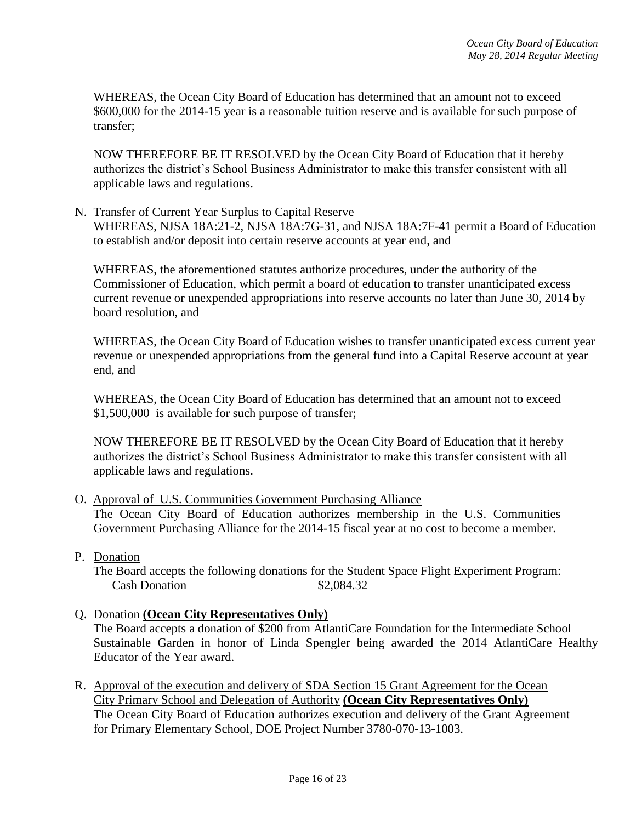WHEREAS, the Ocean City Board of Education has determined that an amount not to exceed \$600,000 for the 2014-15 year is a reasonable tuition reserve and is available for such purpose of transfer;

NOW THEREFORE BE IT RESOLVED by the Ocean City Board of Education that it hereby authorizes the district's School Business Administrator to make this transfer consistent with all applicable laws and regulations.

### N. Transfer of Current Year Surplus to Capital Reserve

WHEREAS, NJSA 18A:21-2, NJSA 18A:7G-31, and NJSA 18A:7F-41 permit a Board of Education to establish and/or deposit into certain reserve accounts at year end, and

WHEREAS, the aforementioned statutes authorize procedures, under the authority of the Commissioner of Education, which permit a board of education to transfer unanticipated excess current revenue or unexpended appropriations into reserve accounts no later than June 30, 2014 by board resolution, and

WHEREAS, the Ocean City Board of Education wishes to transfer unanticipated excess current year revenue or unexpended appropriations from the general fund into a Capital Reserve account at year end, and

WHEREAS, the Ocean City Board of Education has determined that an amount not to exceed \$1,500,000 is available for such purpose of transfer;

NOW THEREFORE BE IT RESOLVED by the Ocean City Board of Education that it hereby authorizes the district's School Business Administrator to make this transfer consistent with all applicable laws and regulations.

### O. Approval of U.S. Communities Government Purchasing Alliance

The Ocean City Board of Education authorizes membership in the U.S. Communities Government Purchasing Alliance for the 2014-15 fiscal year at no cost to become a member.

P. Donation

The Board accepts the following donations for the Student Space Flight Experiment Program: Cash Donation  $$2,084.32$ 

### Q. Donation **(Ocean City Representatives Only)**

The Board accepts a donation of \$200 from AtlantiCare Foundation for the Intermediate School Sustainable Garden in honor of Linda Spengler being awarded the 2014 AtlantiCare Healthy Educator of the Year award.

R. Approval of the execution and delivery of SDA Section 15 Grant Agreement for the Ocean City Primary School and Delegation of Authority **(Ocean City Representatives Only)** The Ocean City Board of Education authorizes execution and delivery of the Grant Agreement for Primary Elementary School, DOE Project Number 3780-070-13-1003.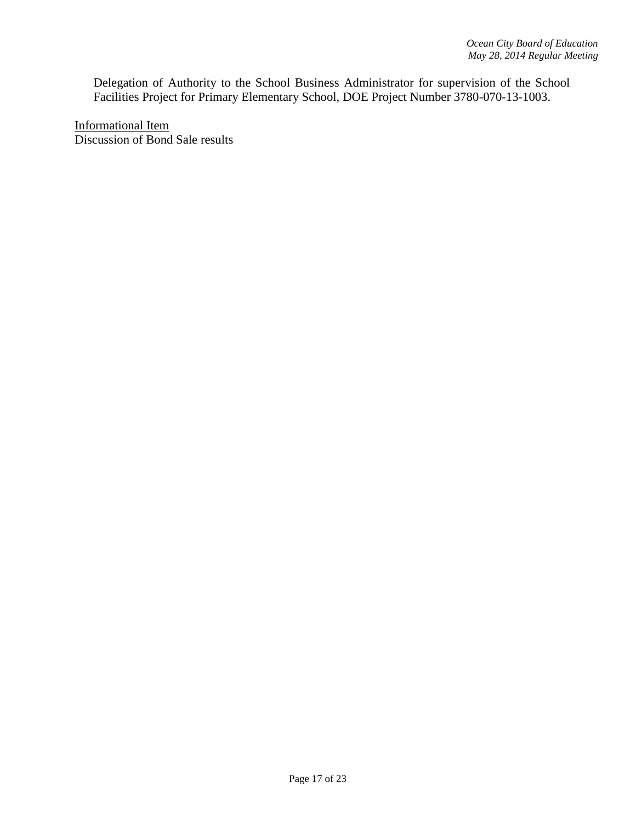Delegation of Authority to the School Business Administrator for supervision of the School Facilities Project for Primary Elementary School, DOE Project Number 3780-070-13-1003.

Informational Item Discussion of Bond Sale results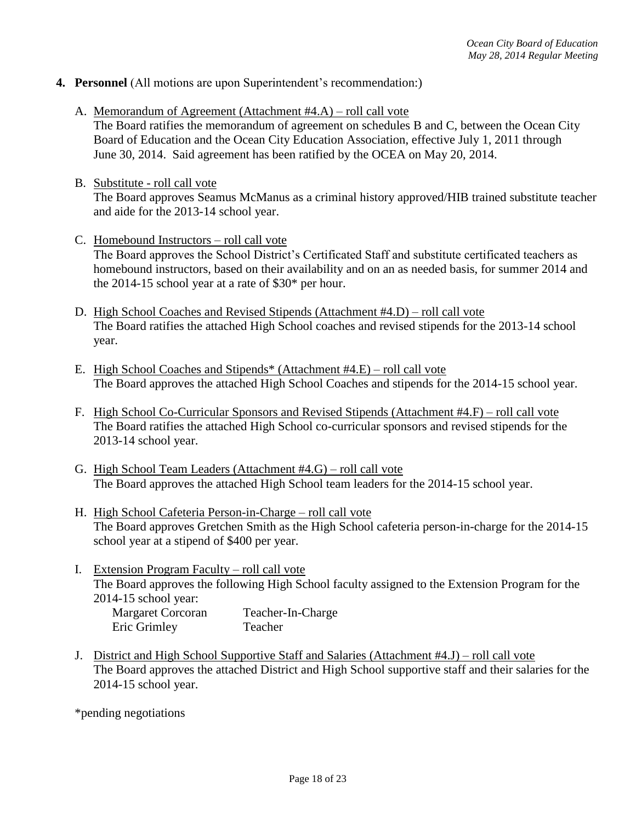- **4. Personnel** (All motions are upon Superintendent's recommendation:)
	- A. Memorandum of Agreement (Attachment #4.A) roll call vote

The Board ratifies the memorandum of agreement on schedules B and C, between the Ocean City Board of Education and the Ocean City Education Association, effective July 1, 2011 through June 30, 2014. Said agreement has been ratified by the OCEA on May 20, 2014.

- B. Substitute roll call vote The Board approves Seamus McManus as a criminal history approved/HIB trained substitute teacher and aide for the 2013-14 school year.
- C. Homebound Instructors roll call vote The Board approves the School District's Certificated Staff and substitute certificated teachers as homebound instructors, based on their availability and on an as needed basis, for summer 2014 and the 2014-15 school year at a rate of \$30\* per hour.
- D. High School Coaches and Revised Stipends (Attachment #4.D) roll call vote The Board ratifies the attached High School coaches and revised stipends for the 2013-14 school year.
- E. High School Coaches and Stipends\* (Attachment #4.E) roll call vote The Board approves the attached High School Coaches and stipends for the 2014-15 school year.
- F. High School Co-Curricular Sponsors and Revised Stipends (Attachment #4.F) roll call vote The Board ratifies the attached High School co-curricular sponsors and revised stipends for the 2013-14 school year.
- G. High School Team Leaders (Attachment #4.G) roll call vote The Board approves the attached High School team leaders for the 2014-15 school year.
- H. High School Cafeteria Person-in-Charge roll call vote The Board approves Gretchen Smith as the High School cafeteria person-in-charge for the 2014-15 school year at a stipend of \$400 per year.
- I. Extension Program Faculty roll call vote The Board approves the following High School faculty assigned to the Extension Program for the 2014-15 school year: Margaret Corcoran Teacher-In-Charge

Eric Grimley Teacher

J. District and High School Supportive Staff and Salaries (Attachment #4.J) – roll call vote The Board approves the attached District and High School supportive staff and their salaries for the 2014-15 school year.

\*pending negotiations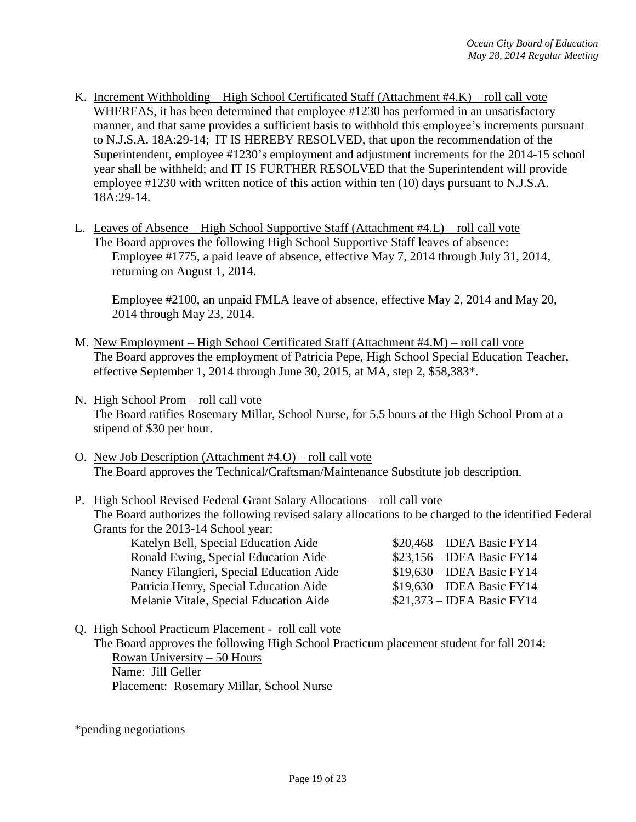- K. Increment Withholding High School Certificated Staff (Attachment #4.K) roll call vote WHEREAS, it has been determined that employee #1230 has performed in an unsatisfactory manner, and that same provides a sufficient basis to withhold this employee's increments pursuant to N.J.S.A. 18A:29-14; IT IS HEREBY RESOLVED, that upon the recommendation of the Superintendent, employee #1230's employment and adjustment increments for the 2014-15 school year shall be withheld; and IT IS FURTHER RESOLVED that the Superintendent will provide employee #1230 with written notice of this action within ten (10) days pursuant to N.J.S.A. 18A:29-14.
- L. Leaves of Absence High School Supportive Staff (Attachment #4.L) roll call vote The Board approves the following High School Supportive Staff leaves of absence: Employee #1775, a paid leave of absence, effective May 7, 2014 through July 31, 2014, returning on August 1, 2014.

Employee #2100, an unpaid FMLA leave of absence, effective May 2, 2014 and May 20, 2014 through May 23, 2014.

- M. New Employment High School Certificated Staff (Attachment #4.M) roll call vote The Board approves the employment of Patricia Pepe, High School Special Education Teacher, effective September 1, 2014 through June 30, 2015, at MA, step 2, \$58,383\*.
- N. High School Prom roll call vote The Board ratifies Rosemary Millar, School Nurse, for 5.5 hours at the High School Prom at a stipend of \$30 per hour.
- O. New Job Description (Attachment #4.O) roll call vote The Board approves the Technical/Craftsman/Maintenance Substitute job description.
- P. High School Revised Federal Grant Salary Allocations roll call vote The Board authorizes the following revised salary allocations to be charged to the identified Federal Grants for the 2013-14 School year:

Katelyn Bell, Special Education Aide  $$20,468 - IDEA$  Basic FY14 Ronald Ewing, Special Education Aide \$23,156 – IDEA Basic FY14 Nancy Filangieri, Special Education Aide \$19,630 – IDEA Basic FY14 Patricia Henry, Special Education Aide \$19,630 – IDEA Basic FY14 Melanie Vitale, Special Education Aide \$21,373 – IDEA Basic FY14

Q. High School Practicum Placement - roll call vote

The Board approves the following High School Practicum placement student for fall 2014: Rowan University – 50 Hours Name: Jill Geller Placement: Rosemary Millar, School Nurse

\*pending negotiations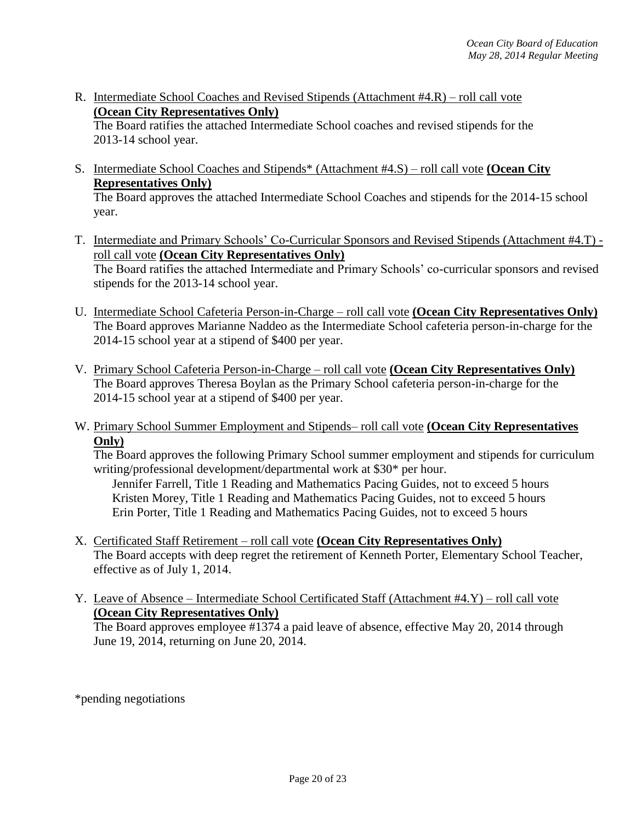R. Intermediate School Coaches and Revised Stipends (Attachment #4.R) – roll call vote **(Ocean City Representatives Only)**

The Board ratifies the attached Intermediate School coaches and revised stipends for the 2013-14 school year.

- S. Intermediate School Coaches and Stipends\* (Attachment #4.S) roll call vote **(Ocean City Representatives Only)** The Board approves the attached Intermediate School Coaches and stipends for the 2014-15 school year.
- T. Intermediate and Primary Schools' Co-Curricular Sponsors and Revised Stipends (Attachment #4.T) roll call vote **(Ocean City Representatives Only)** The Board ratifies the attached Intermediate and Primary Schools' co-curricular sponsors and revised stipends for the 2013-14 school year.
- U. Intermediate School Cafeteria Person-in-Charge roll call vote **(Ocean City Representatives Only)** The Board approves Marianne Naddeo as the Intermediate School cafeteria person-in-charge for the 2014-15 school year at a stipend of \$400 per year.
- V. Primary School Cafeteria Person-in-Charge roll call vote **(Ocean City Representatives Only)** The Board approves Theresa Boylan as the Primary School cafeteria person-in-charge for the 2014-15 school year at a stipend of \$400 per year.
- W. Primary School Summer Employment and Stipends– roll call vote **(Ocean City Representatives Only)**

The Board approves the following Primary School summer employment and stipends for curriculum writing/professional development/departmental work at \$30\* per hour.

Jennifer Farrell, Title 1 Reading and Mathematics Pacing Guides, not to exceed 5 hours Kristen Morey, Title 1 Reading and Mathematics Pacing Guides, not to exceed 5 hours Erin Porter, Title 1 Reading and Mathematics Pacing Guides, not to exceed 5 hours

- X. Certificated Staff Retirement roll call vote **(Ocean City Representatives Only)** The Board accepts with deep regret the retirement of Kenneth Porter, Elementary School Teacher, effective as of July 1, 2014.
- Y. Leave of Absence Intermediate School Certificated Staff (Attachment #4.Y) roll call vote **(Ocean City Representatives Only)** The Board approves employee #1374 a paid leave of absence, effective May 20, 2014 through June 19, 2014, returning on June 20, 2014.

\*pending negotiations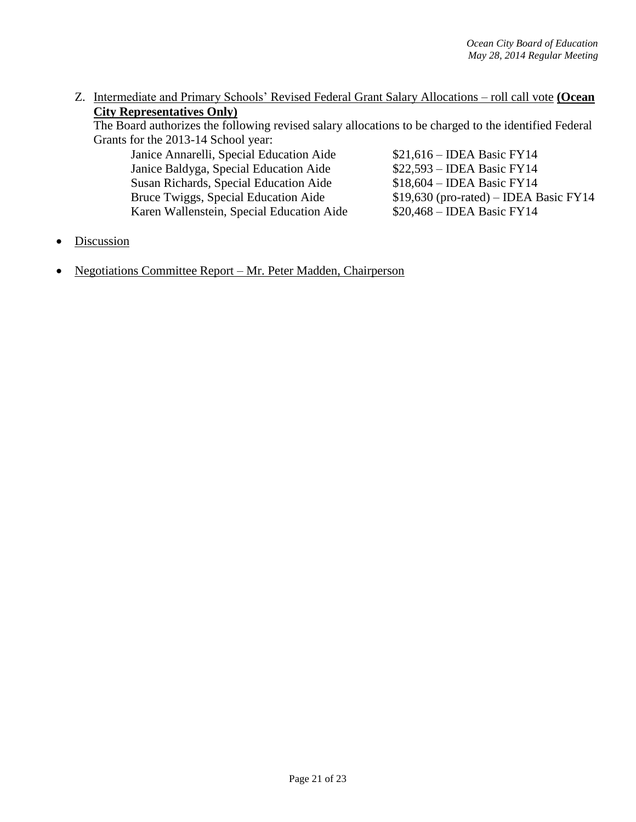Z. Intermediate and Primary Schools' Revised Federal Grant Salary Allocations – roll call vote **(Ocean City Representatives Only)**

The Board authorizes the following revised salary allocations to be charged to the identified Federal Grants for the 2013-14 School year:

Janice Annarelli, Special Education Aide \$21,616 – IDEA Basic FY14 Janice Baldyga, Special Education Aide \$22,593 – IDEA Basic FY14 Susan Richards, Special Education Aide \$18,604 – IDEA Basic FY14<br>Bruce Twiggs, Special Education Aide \$19,630 (pro-rated) – IDEA E Karen Wallenstein, Special Education Aide \$20,468 – IDEA Basic FY14

 $$19,630$  (pro-rated) – IDEA Basic FY14

- Discussion
- Negotiations Committee Report Mr. Peter Madden, Chairperson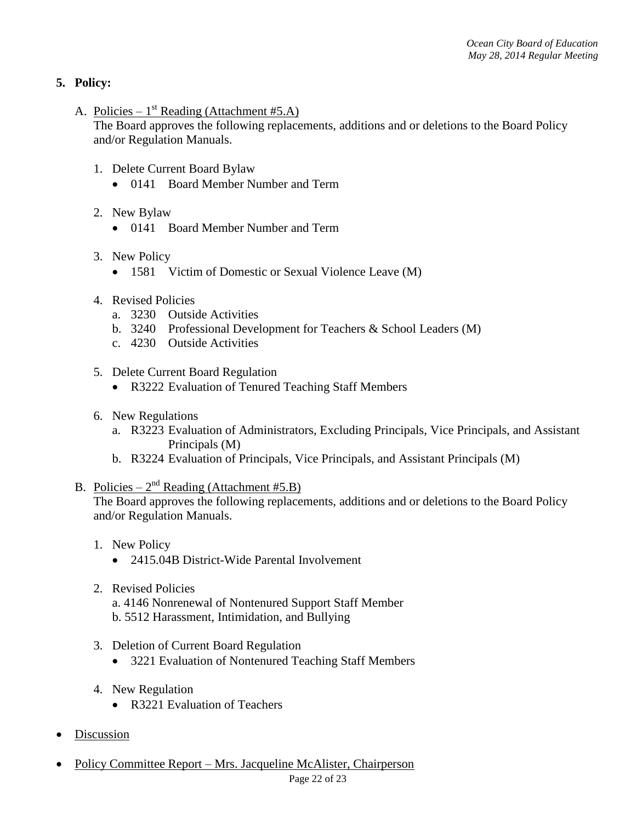# **5. Policy:**

A. Policies –  $1^{st}$  Reading (Attachment #5.A)

The Board approves the following replacements, additions and or deletions to the Board Policy and/or Regulation Manuals.

- 1. Delete Current Board Bylaw
	- 0141 Board Member Number and Term
- 2. New Bylaw
	- 0141 Board Member Number and Term
- 3. New Policy
	- 1581 Victim of Domestic or Sexual Violence Leave (M)
- 4. Revised Policies
	- a. 3230 Outside Activities
	- b. 3240 Professional Development for Teachers & School Leaders (M)
	- c. 4230 Outside Activities
- 5. Delete Current Board Regulation
	- R3222 Evaluation of Tenured Teaching Staff Members
- 6. New Regulations
	- a. R3223 Evaluation of Administrators, Excluding Principals, Vice Principals, and Assistant Principals (M)
	- b. R3224 Evaluation of Principals, Vice Principals, and Assistant Principals (M)
- B. Policies  $2^{nd}$  Reading (Attachment #5.B)

The Board approves the following replacements, additions and or deletions to the Board Policy and/or Regulation Manuals.

- 1. New Policy
	- 2415.04B District-Wide Parental Involvement
- 2. Revised Policies a. 4146 Nonrenewal of Nontenured Support Staff Member
	- b. 5512 Harassment, Intimidation, and Bullying
- 3. Deletion of Current Board Regulation
	- 3221 Evaluation of Nontenured Teaching Staff Members
- 4. New Regulation
	- R3221 Evaluation of Teachers
- **Discussion**
- Policy Committee Report Mrs. Jacqueline McAlister, Chairperson